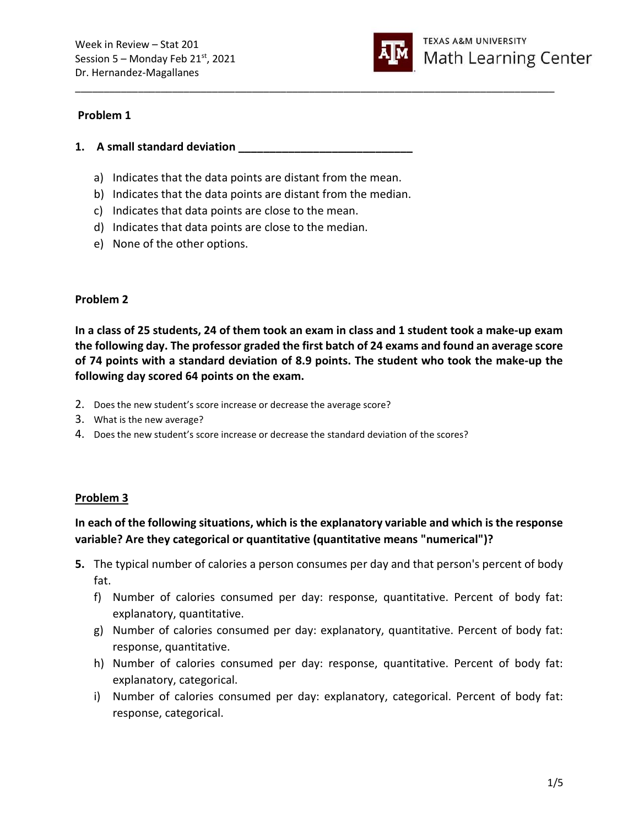

### Problem 1

#### 1. A small standard deviation

- a) Indicates that the data points are distant from the mean.
- b) Indicates that the data points are distant from the median.
- c) Indicates that data points are close to the mean.
- d) Indicates that data points are close to the median.
- e) None of the other options.

#### Problem 2

In a class of 25 students, 24 of them took an exam in class and 1 student took a make-up exam the following day. The professor graded the first batch of 24 exams and found an average score of 74 points with a standard deviation of 8.9 points. The student who took the make-up the following day scored 64 points on the exam.

\_\_\_\_\_\_\_\_\_\_\_\_\_\_\_\_\_\_\_\_\_\_\_\_\_\_\_\_\_\_\_\_\_\_\_\_\_\_\_\_\_\_\_\_\_\_\_\_\_\_\_\_\_\_\_\_\_\_\_\_\_\_\_\_\_\_\_\_\_\_\_\_\_\_\_\_\_\_\_\_\_\_\_\_

- 2. Does the new student's score increase or decrease the average score?
- 3. What is the new average?
- 4. Does the new student's score increase or decrease the standard deviation of the scores?

## Problem 3

## In each of the following situations, which is the explanatory variable and which is the response variable? Are they categorical or quantitative (quantitative means "numerical")?

- 5. The typical number of calories a person consumes per day and that person's percent of body fat.
	- f) Number of calories consumed per day: response, quantitative. Percent of body fat: explanatory, quantitative.
	- g) Number of calories consumed per day: explanatory, quantitative. Percent of body fat: response, quantitative.
	- h) Number of calories consumed per day: response, quantitative. Percent of body fat: explanatory, categorical.
	- i) Number of calories consumed per day: explanatory, categorical. Percent of body fat: response, categorical.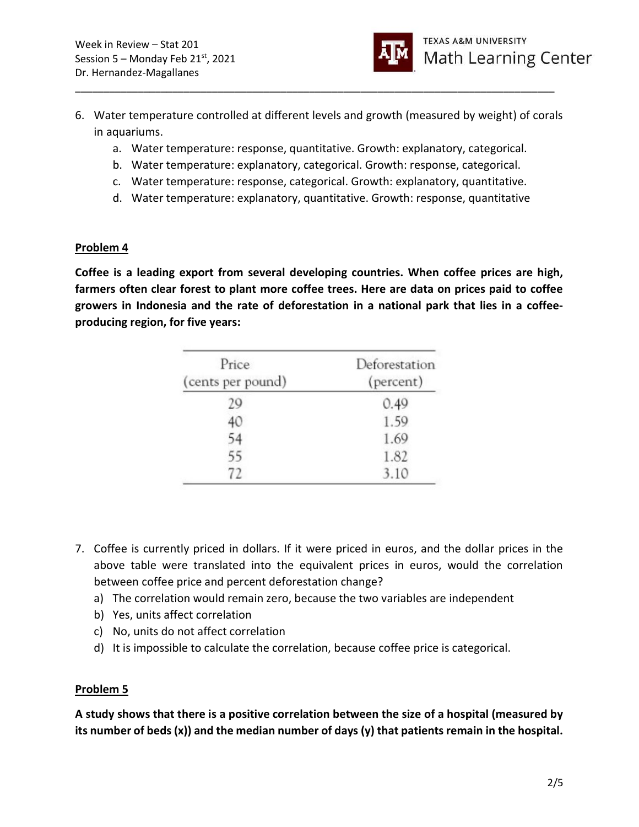

6. Water temperature controlled at different levels and growth (measured by weight) of corals in aquariums.

\_\_\_\_\_\_\_\_\_\_\_\_\_\_\_\_\_\_\_\_\_\_\_\_\_\_\_\_\_\_\_\_\_\_\_\_\_\_\_\_\_\_\_\_\_\_\_\_\_\_\_\_\_\_\_\_\_\_\_\_\_\_\_\_\_\_\_\_\_\_\_\_\_\_\_\_\_\_\_\_\_\_\_\_

- a. Water temperature: response, quantitative. Growth: explanatory, categorical.
- b. Water temperature: explanatory, categorical. Growth: response, categorical.
- c. Water temperature: response, categorical. Growth: explanatory, quantitative.
- d. Water temperature: explanatory, quantitative. Growth: response, quantitative

## Problem 4

Coffee is a leading export from several developing countries. When coffee prices are high, farmers often clear forest to plant more coffee trees. Here are data on prices paid to coffee growers in Indonesia and the rate of deforestation in a national park that lies in a coffeeproducing region, for five years:

| Price<br>(cents per pound) | Deforestation<br>(percent) |  |
|----------------------------|----------------------------|--|
| 29                         | 0.49                       |  |
| 40                         | 1.59                       |  |
| 54                         | 1.69                       |  |
| 55                         | 1.82                       |  |
| 72                         | 3.10                       |  |

- 7. Coffee is currently priced in dollars. If it were priced in euros, and the dollar prices in the above table were translated into the equivalent prices in euros, would the correlation between coffee price and percent deforestation change?
	- a) The correlation would remain zero, because the two variables are independent
	- b) Yes, units affect correlation
	- c) No, units do not affect correlation
	- d) It is impossible to calculate the correlation, because coffee price is categorical.

## Problem 5

A study shows that there is a positive correlation between the size of a hospital (measured by its number of beds (x)) and the median number of days (y) that patients remain in the hospital.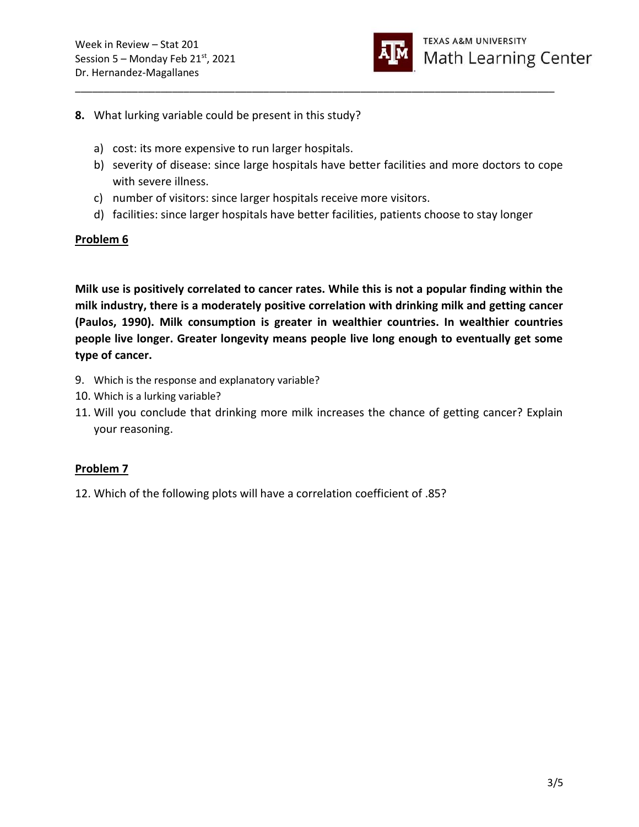

- 8. What lurking variable could be present in this study?
	- a) cost: its more expensive to run larger hospitals.
	- b) severity of disease: since large hospitals have better facilities and more doctors to cope with severe illness.
	- c) number of visitors: since larger hospitals receive more visitors.
	- d) facilities: since larger hospitals have better facilities, patients choose to stay longer

\_\_\_\_\_\_\_\_\_\_\_\_\_\_\_\_\_\_\_\_\_\_\_\_\_\_\_\_\_\_\_\_\_\_\_\_\_\_\_\_\_\_\_\_\_\_\_\_\_\_\_\_\_\_\_\_\_\_\_\_\_\_\_\_\_\_\_\_\_\_\_\_\_\_\_\_\_\_\_\_\_\_\_\_

#### Problem 6

Milk use is positively correlated to cancer rates. While this is not a popular finding within the milk industry, there is a moderately positive correlation with drinking milk and getting cancer (Paulos, 1990). Milk consumption is greater in wealthier countries. In wealthier countries people live longer. Greater longevity means people live long enough to eventually get some type of cancer.

- 9. Which is the response and explanatory variable?
- 10. Which is a lurking variable?
- 11. Will you conclude that drinking more milk increases the chance of getting cancer? Explain your reasoning.

## Problem 7

12. Which of the following plots will have a correlation coefficient of .85?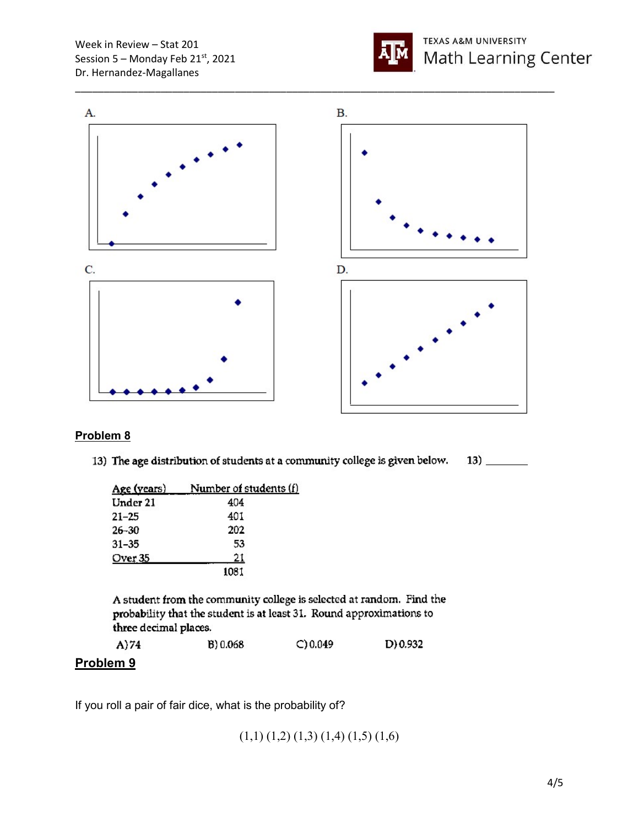Week in Review – Stat 201 Session 5 – Monday Feb  $21<sup>st</sup>$ , 2021 Dr. Hernandez-Magallanes





## Problem 8

13) The age distribution of students at a community college is given below.

| Age (years) | Number of students (f) |  |
|-------------|------------------------|--|
| Under 21    | 404                    |  |
| $21 - 25$   | 401                    |  |
| $26 - 30$   | 202                    |  |
| $31 - 35$   | 53                     |  |
| Over 35     | 21                     |  |
|             | 1081                   |  |

A student from the community college is selected at random. Find the probability that the student is at least 31. Round approximations to three decimal places.

| A)74 | <b>B</b> ) 0.068 | C) 0.049 | D) 0.932 |
|------|------------------|----------|----------|
|------|------------------|----------|----------|

# Problem 9

If you roll a pair of fair dice, what is the probability of?

 $(1,1)$   $(1,2)$   $(1,3)$   $(1,4)$   $(1,5)$   $(1,6)$